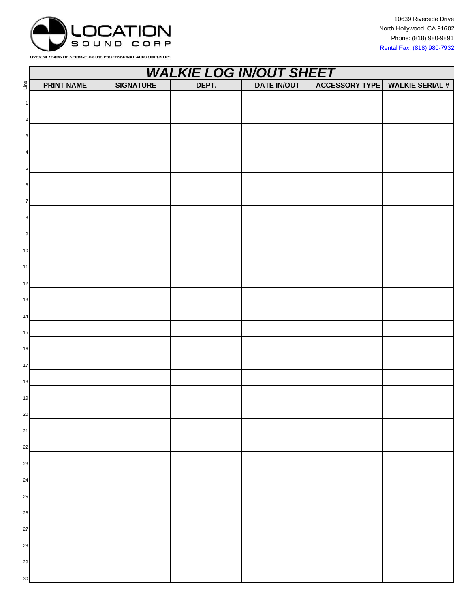

OVER 30 YEARS OF SERVICE TO THE PROFESSIONAL AUDIO INDUSTRY.

|                                            | <b>WALKIE LOG IN/OUT SHEET</b> |                  |       |                    |                       |                        |  |  |
|--------------------------------------------|--------------------------------|------------------|-------|--------------------|-----------------------|------------------------|--|--|
| $\mathop{\underline{\mathsf{e}}}\nolimits$ | <b>PRINT NAME</b>              | <b>SIGNATURE</b> | DEPT. | <b>DATE IN/OUT</b> | <b>ACCESSORY TYPE</b> | <b>WALKIE SERIAL #</b> |  |  |
| $\mathbf{1}$                               |                                |                  |       |                    |                       |                        |  |  |
| $\overline{a}$                             |                                |                  |       |                    |                       |                        |  |  |
|                                            |                                |                  |       |                    |                       |                        |  |  |
| $\mathbf{3}$                               |                                |                  |       |                    |                       |                        |  |  |
| $\overline{a}$                             |                                |                  |       |                    |                       |                        |  |  |
| $5\phantom{.0}$                            |                                |                  |       |                    |                       |                        |  |  |
| $6\phantom{.}6$                            |                                |                  |       |                    |                       |                        |  |  |
| $\overline{7}$                             |                                |                  |       |                    |                       |                        |  |  |
| $\boldsymbol{8}$                           |                                |                  |       |                    |                       |                        |  |  |
| 9                                          |                                |                  |       |                    |                       |                        |  |  |
| $10$                                       |                                |                  |       |                    |                       |                        |  |  |
| 11                                         |                                |                  |       |                    |                       |                        |  |  |
| 12                                         |                                |                  |       |                    |                       |                        |  |  |
| $13$                                       |                                |                  |       |                    |                       |                        |  |  |
| 14                                         |                                |                  |       |                    |                       |                        |  |  |
| 15                                         |                                |                  |       |                    |                       |                        |  |  |
| 16                                         |                                |                  |       |                    |                       |                        |  |  |
| 17                                         |                                |                  |       |                    |                       |                        |  |  |
| $18\,$                                     |                                |                  |       |                    |                       |                        |  |  |
| 19                                         |                                |                  |       |                    |                       |                        |  |  |
| 20                                         |                                |                  |       |                    |                       |                        |  |  |
| 21                                         |                                |                  |       |                    |                       |                        |  |  |
| 22                                         |                                |                  |       |                    |                       |                        |  |  |
| 23                                         |                                |                  |       |                    |                       |                        |  |  |
| 24                                         |                                |                  |       |                    |                       |                        |  |  |
| 25                                         |                                |                  |       |                    |                       |                        |  |  |
| 26                                         |                                |                  |       |                    |                       |                        |  |  |
| $27\,$                                     |                                |                  |       |                    |                       |                        |  |  |
| 28                                         |                                |                  |       |                    |                       |                        |  |  |
| 29                                         |                                |                  |       |                    |                       |                        |  |  |
| $30\,$                                     |                                |                  |       |                    |                       |                        |  |  |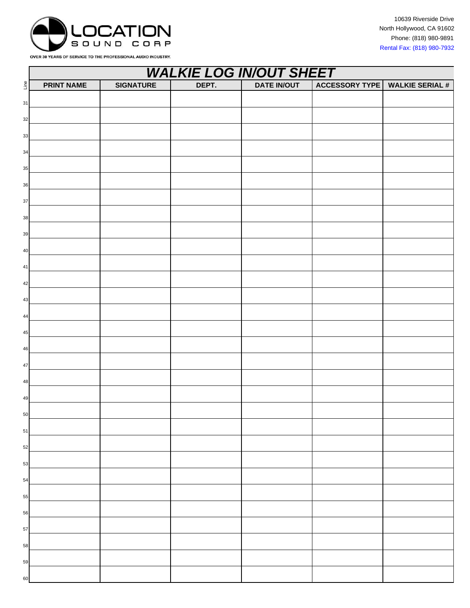

|             | <b>WALKIE LOG IN/OUT SHEET</b> |                  |       |                    |                       |                        |  |  |
|-------------|--------------------------------|------------------|-------|--------------------|-----------------------|------------------------|--|--|
| Line        | <b>PRINT NAME</b>              | <b>SIGNATURE</b> | DEPT. | <b>DATE IN/OUT</b> | <b>ACCESSORY TYPE</b> | <b>WALKIE SERIAL #</b> |  |  |
| 31          |                                |                  |       |                    |                       |                        |  |  |
| 32          |                                |                  |       |                    |                       |                        |  |  |
| 33          |                                |                  |       |                    |                       |                        |  |  |
| 34          |                                |                  |       |                    |                       |                        |  |  |
| 35          |                                |                  |       |                    |                       |                        |  |  |
| $36\,$      |                                |                  |       |                    |                       |                        |  |  |
| $37\,$      |                                |                  |       |                    |                       |                        |  |  |
| $38\,$      |                                |                  |       |                    |                       |                        |  |  |
| 39          |                                |                  |       |                    |                       |                        |  |  |
| $40\,$      |                                |                  |       |                    |                       |                        |  |  |
| $41\,$      |                                |                  |       |                    |                       |                        |  |  |
| 42          |                                |                  |       |                    |                       |                        |  |  |
| $43\,$      |                                |                  |       |                    |                       |                        |  |  |
| 44          |                                |                  |       |                    |                       |                        |  |  |
| $45\,$      |                                |                  |       |                    |                       |                        |  |  |
| $\sqrt{46}$ |                                |                  |       |                    |                       |                        |  |  |
| $47\,$      |                                |                  |       |                    |                       |                        |  |  |
| 48          |                                |                  |       |                    |                       |                        |  |  |
| 49          |                                |                  |       |                    |                       |                        |  |  |
| 50          |                                |                  |       |                    |                       |                        |  |  |
| ${\bf 51}$  |                                |                  |       |                    |                       |                        |  |  |
| 52          |                                |                  |       |                    |                       |                        |  |  |
| 53          |                                |                  |       |                    |                       |                        |  |  |
| 54          |                                |                  |       |                    |                       |                        |  |  |
| 55          |                                |                  |       |                    |                       |                        |  |  |
| 56          |                                |                  |       |                    |                       |                        |  |  |
| 57          |                                |                  |       |                    |                       |                        |  |  |
| 58          |                                |                  |       |                    |                       |                        |  |  |
| 59          |                                |                  |       |                    |                       |                        |  |  |
| 60          |                                |                  |       |                    |                       |                        |  |  |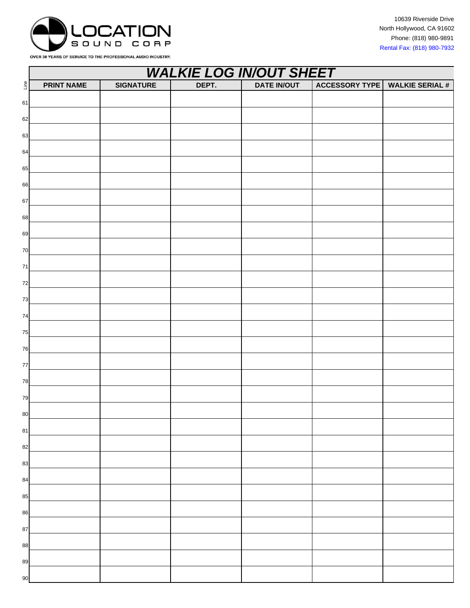

|            | <b>WALKIE LOG IN/OUT SHEET</b> |                  |       |                    |                       |                        |  |  |
|------------|--------------------------------|------------------|-------|--------------------|-----------------------|------------------------|--|--|
| Line       | <b>PRINT NAME</b>              | <b>SIGNATURE</b> | DEPT. | <b>DATE IN/OUT</b> | <b>ACCESSORY TYPE</b> | <b>WALKIE SERIAL #</b> |  |  |
| 61         |                                |                  |       |                    |                       |                        |  |  |
| 62         |                                |                  |       |                    |                       |                        |  |  |
| 63         |                                |                  |       |                    |                       |                        |  |  |
| 64         |                                |                  |       |                    |                       |                        |  |  |
| 65         |                                |                  |       |                    |                       |                        |  |  |
| 66         |                                |                  |       |                    |                       |                        |  |  |
| 67         |                                |                  |       |                    |                       |                        |  |  |
| 68         |                                |                  |       |                    |                       |                        |  |  |
| 69         |                                |                  |       |                    |                       |                        |  |  |
| 70         |                                |                  |       |                    |                       |                        |  |  |
| $\bf 71$   |                                |                  |       |                    |                       |                        |  |  |
| 72         |                                |                  |       |                    |                       |                        |  |  |
| 73         |                                |                  |       |                    |                       |                        |  |  |
| ${\bf 74}$ |                                |                  |       |                    |                       |                        |  |  |
| 75         |                                |                  |       |                    |                       |                        |  |  |
| 76         |                                |                  |       |                    |                       |                        |  |  |
| $77$       |                                |                  |       |                    |                       |                        |  |  |
| 78         |                                |                  |       |                    |                       |                        |  |  |
| 79         |                                |                  |       |                    |                       |                        |  |  |
| 80         |                                |                  |       |                    |                       |                        |  |  |
| 81         |                                |                  |       |                    |                       |                        |  |  |
| 82         |                                |                  |       |                    |                       |                        |  |  |
| 83         |                                |                  |       |                    |                       |                        |  |  |
| 84         |                                |                  |       |                    |                       |                        |  |  |
| 85         |                                |                  |       |                    |                       |                        |  |  |
| 86         |                                |                  |       |                    |                       |                        |  |  |
| 87         |                                |                  |       |                    |                       |                        |  |  |
| 88         |                                |                  |       |                    |                       |                        |  |  |
| 89         |                                |                  |       |                    |                       |                        |  |  |
| 90         |                                |                  |       |                    |                       |                        |  |  |